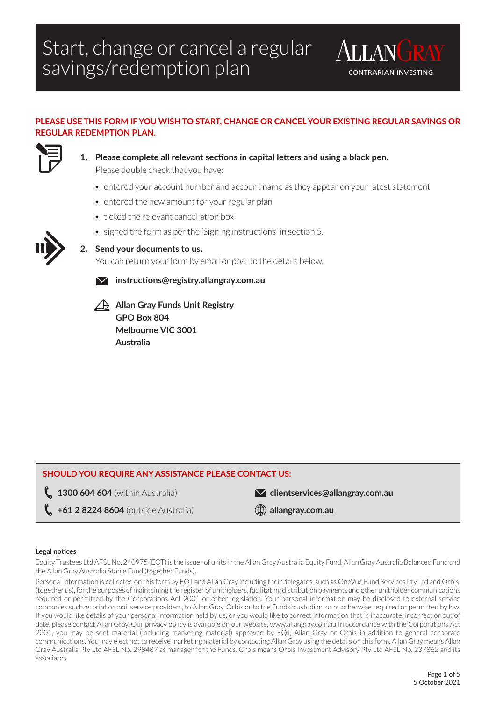

### **PLEASE USE THIS FORM IF YOU WISH TO START, CHANGE OR CANCEL YOUR EXISTING REGULAR SAVINGS OR REGULAR REDEMPTION PLAN.**



**1. Please complete all relevant sections in capital letters and using a black pen.** Please double check that you have:

- entered your account number and account name as they appear on your latest statement
- entered the new amount for your regular plan
- ticked the relevant cancellation box
- signed the form as per the 'Signing instructions' in section 5.



### **2. Send your documents to us.**

You can return your form by email or post to the details below.



**instructions@registry.allangray.com.au**

**Allan Gray Funds Unit Registry GPO Box 804 Melbourne VIC 3001 Australia**

### **SHOULD YOU REQUIRE ANY ASSISTANCE PLEASE CONTACT US:**

**1300 604 604** (within Australia)

**clientservices@allangray.com.au**

**+61 2 8224 8604** (outside Australia)

**allangray.com.au**

#### **Legal notices**

Equity Trustees Ltd AFSL No. 240975 (EQT) is the issuer of units in the Allan Gray Australia Equity Fund, Allan Gray Australia Balanced Fund and the Allan Gray Australia Stable Fund (together Funds).

Personal information is collected on this form by EQT and Allan Gray including their delegates, such as OneVue Fund Services Pty Ltd and Orbis, (together us), for the purposes of maintaining the register of unitholders, facilitating distribution payments and other unitholder communications required or permitted by the Corporations Act 2001 or other legislation. Your personal information may be disclosed to external service companies such as print or mail service providers, to Allan Gray, Orbis or to the Funds' custodian, or as otherwise required or permitted by law. If you would like details of your personal information held by us, or you would like to correct information that is inaccurate, incorrect or out of date, please contact Allan Gray. Our privacy policy is available on our website, www.allangray.com.au In accordance with the Corporations Act 2001, you may be sent material (including marketing material) approved by EQT, Allan Gray or Orbis in addition to general corporate communications. You may elect not to receive marketing material by contacting Allan Gray using the details on this form. Allan Gray means Allan Gray Australia Pty Ltd AFSL No. 298487 as manager for the Funds. Orbis means Orbis Investment Advisory Pty Ltd AFSL No. 237862 and its associates.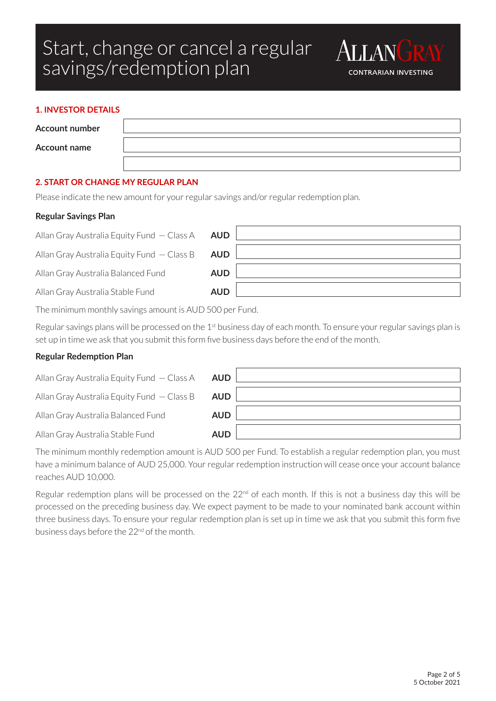

| <b>Account number</b> |  |
|-----------------------|--|
| <b>Account name</b>   |  |
|                       |  |

**ALLAN** 

**CONTRARIAN INVESTING** 

### **2. START OR CHANGE MY REGULAR PLAN**

Please indicate the new amount for your regular savings and/or regular redemption plan.

#### **Regular Savings Plan**

Allan Gray Australia Equity Fund — Class A **AUD**

Allan Gray Australia Equity Fund — Class B **AUD**

Allan Gray Australia Balanced Fund **AUD**

Allan Gray Australia Stable Fund **AUD**

The minimum monthly savings amount is AUD 500 per Fund.

Regular savings plans will be processed on the 1<sup>st</sup> business day of each month. To ensure your regular savings plan is set up in time we ask that you submit this form five business days before the end of the month.

### **Regular Redemption Plan**

| Allan Gray Australia Equity Fund $-$ Class A | <b>AUD</b> |  |
|----------------------------------------------|------------|--|
| Allan Gray Australia Equity Fund $-$ Class B | <b>AUD</b> |  |
| Allan Gray Australia Balanced Fund           | <b>AUD</b> |  |
| Allan Gray Australia Stable Fund             | <b>AUD</b> |  |

The minimum monthly redemption amount is AUD 500 per Fund. To establish a regular redemption plan, you must have a minimum balance of AUD 25,000. Your regular redemption instruction will cease once your account balance reaches AUD 10,000.

Regular redemption plans will be processed on the 22<sup>nd</sup> of each month. If this is not a business day this will be processed on the preceding business day. We expect payment to be made to your nominated bank account within three business days. To ensure your regular redemption plan is set up in time we ask that you submit this form five business days before the 22<sup>nd</sup> of the month.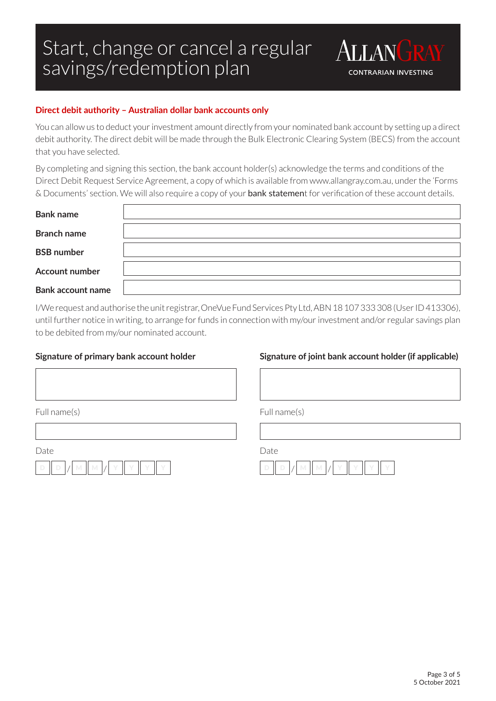

You can allow us to deduct your investment amount directly from your nominated bank account by setting up a direct debit authority. The direct debit will be made through the Bulk Electronic Clearing System (BECS) from the account that you have selected.

By completing and signing this section, the bank account holder(s) acknowledge the terms and conditions of the Direct Debit Request Service Agreement, a copy of which is available from www.allangray.com.au, under the 'Forms & Documents' section. We will also require a copy of your bank statement for verification of these account details.

| <b>Bank name</b>         |  |
|--------------------------|--|
| <b>Branch name</b>       |  |
| <b>BSB</b> number        |  |
| <b>Account number</b>    |  |
| <b>Bank account name</b> |  |

I/We request and authorise the unit registrar, OneVue Fund Services Pty Ltd, ABN 18 107 333 308 (User ID 413306), until further notice in writing, to arrange for funds in connection with my/our investment and/or regular savings plan to be debited from my/our nominated account.

Full name(s)

### **Signature of primary bank account holder**

### **Signature of joint bank account holder (if applicable)**

**ALLAN** 

**CONTRARIAN INVESTING** 

Full name(s)

Date



| Date |  |  |  |
|------|--|--|--|
|      |  |  |  |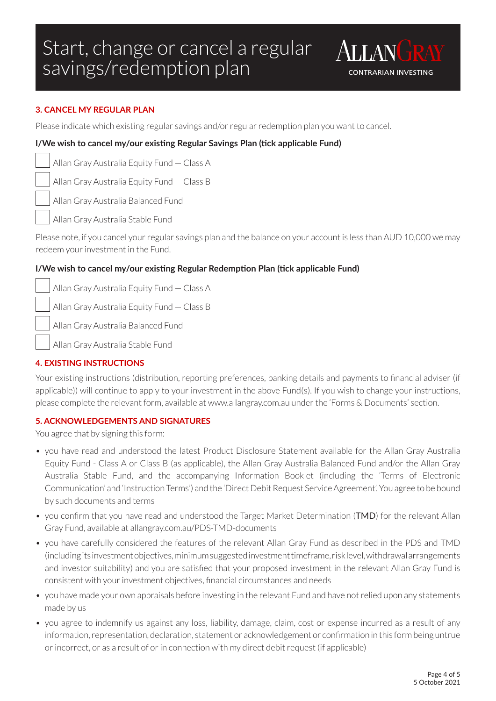

### **3. CANCEL MY REGULAR PLAN**

Please indicate which existing regular savings and/or regular redemption plan you want to cancel.

### **I/We wish to cancel my/our existing Regular Savings Plan (tick applicable Fund)**

Allan Gray Australia Equity Fund — Class A

Allan Gray Australia Equity Fund — Class B

Allan Gray Australia Balanced Fund

Allan Gray Australia Stable Fund

Please note, if you cancel your regular savings plan and the balance on your account is less than AUD 10,000 we may redeem your investment in the Fund.

### **I/We wish to cancel my/our existing Regular Redemption Plan (tick applicable Fund)**

Allan Gray Australia Equity Fund — Class A

Allan Gray Australia Equity Fund — Class B

Allan Gray Australia Balanced Fund

Allan Gray Australia Stable Fund

### **4. EXISTING INSTRUCTIONS**

Your existing instructions (distribution, reporting preferences, banking details and payments to financial adviser (if applicable)) will continue to apply to your investment in the above Fund(s). If you wish to change your instructions, please complete the relevant form, available at www.allangray.com.au under the 'Forms & Documents' section.

### **5. ACKNOWLEDGEMENTS AND SIGNATURES**

You agree that by signing this form:

- you have read and understood the latest Product Disclosure Statement available for the Allan Gray Australia Equity Fund - Class A or Class B (as applicable), the Allan Gray Australia Balanced Fund and/or the Allan Gray Australia Stable Fund, and the accompanying Information Booklet (including the 'Terms of Electronic Communication' and 'Instruction Terms') and the 'Direct Debit Request Service Agreement'. You agree to be bound by such documents and terms
- you confirm that you have read and understood the Target Market Determination (TMD) for the relevant Allan Gray Fund, available at allangray.com.au/PDS-TMD-documents
- you have carefully considered the features of the relevant Allan Gray Fund as described in the PDS and TMD (including its investment objectives, minimum suggested investment timeframe, risk level, withdrawal arrangements and investor suitability) and you are satisfied that your proposed investment in the relevant Allan Gray Fund is consistent with your investment objectives, financial circumstances and needs
- you have made your own appraisals before investing in the relevant Fund and have not relied upon any statements made by us
- you agree to indemnify us against any loss, liability, damage, claim, cost or expense incurred as a result of any information, representation, declaration, statement or acknowledgement or confirmation in this form being untrue or incorrect, or as a result of or in connection with my direct debit request (if applicable)